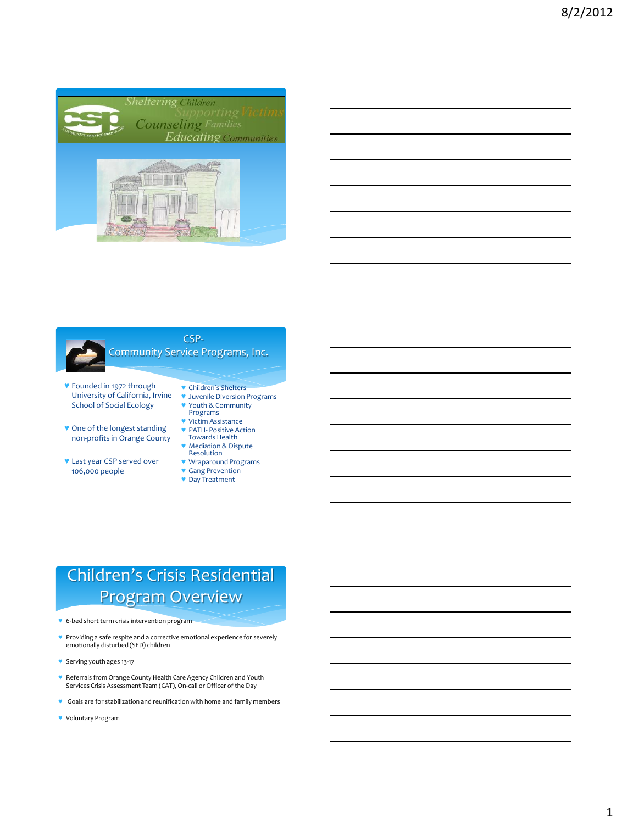

| <u> 1989 - Jan Samuel Barbara, margaret e a seu a component de la componentación de la componentación de la compo</u> |  |      |
|-----------------------------------------------------------------------------------------------------------------------|--|------|
|                                                                                                                       |  |      |
|                                                                                                                       |  |      |
| <u> 1989 - Johann Stoff, deutscher Stoffen und der Stoffen und der Stoffen und der Stoffen und der Stoffen und d</u>  |  |      |
|                                                                                                                       |  |      |
| <u> 1989 - Johann Barn, amerikan berkemaan berkemaan berkemaan di bahasa di bahasa di bahasa di bahasa di bahasa</u>  |  |      |
| and the control of the control of the control of the control of the control of the control of the control of the      |  | ____ |
|                                                                                                                       |  |      |



#### CSP-Community Service Programs, Inc.

- ♥ Founded in 1972 through University of California, Irvine School of Social Ecology
- ♥ One of the longest standing non-profits in Orange County
- ♥ Last year CSP served over 106,000 people
- ♥ Children's Shelters
- ♥ Juvenile Diversion Programs ♥ Youth & Community
	- Programs
- ♥ Victim Assistance ♥ PATH- Positive Action Towards Health
- ♥ Mediation & Dispute
- **Resolution**
- ♥ Wraparound Programs
- ♥ Gang Prevention
- ♥ Day Treatment

# Children's Crisis Residential Program Overview

- ♥ 6-bed short term crisis intervention program
- ♥ Providing a safe respite and a corrective emotional experience for severely emotionally disturbed (SED) children
- ♥ Serving youth ages 13-17
- ♥ Referrals from Orange County Health Care Agency Children and Youth Services Crisis Assessment Team (CAT), On-call or Officer of the Day
- ♥ Goals are for stabilization and reunification with home and family members
- ♥ Voluntary Program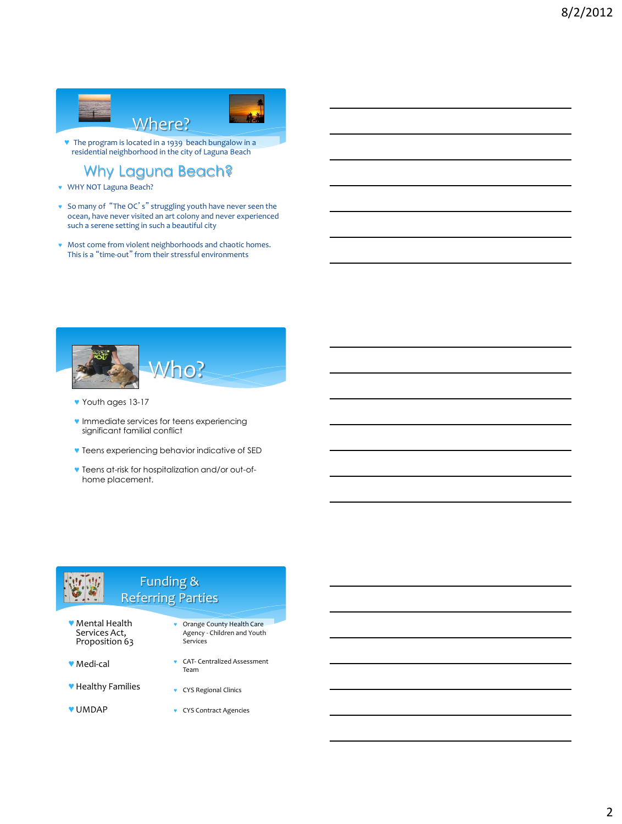

♥ The program is located in a 1939 beach bungalow in a residential neighborhood in the city of Laguna Beach

Why Laguna Beach?

- ♥ WHY NOT Laguna Beach?
- ♥ So many of "The OC's" struggling youth have never seen the ocean, have never visited an art colony and never experienced such a serene setting in such a beautiful city
- ♥ Most come from violent neighborhoods and chaotic homes. This is a "time-out" from their stressful environments



♥ Youth ages 13-17

♥ Medi-cal

♥ UMDAP

- ♥ Immediate services for teens experiencing significant familial conflict
- ♥ Teens experiencing behavior indicative of SED
- ♥ Teens at-risk for hospitalization and/or out-ofhome placement.

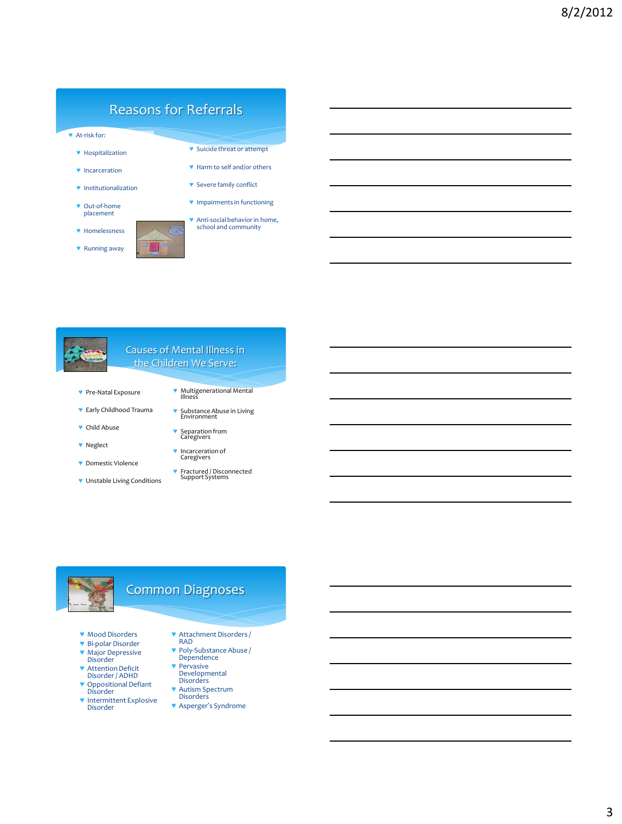## Reasons for Referrals

- ♥ At-risk for:
	- ♥ Hospitalization
	- ♥ Incarceration
	- ♥ Institutionalization
	- ♥ Out-of-home placement
	- ♥ Homelessness
	- ♥ Running away
- ♥ Suicide threat or attempt
- ♥ Harm to self and/or others
- ♥ Severe family conflict
- ♥ Impairments in functioning
- ♥ Anti-social behavior in home, school and community



#### Causes of Mental Illness in the Children We Serve:

- ♥ Pre-Natal Exposure
- ♥ Early Childhood Trauma
- ♥ Child Abuse
- ♥ Neglect
- ♥ Domestic Violence
- ♥ Unstable Living Conditions
- ♥ Multigenerational Mental Illness
- ♥ Substance Abuse in Living Environment
- ♥ Separation from Caregivers
- ♥ Incarceration of Caregivers
- ♥ Fractured / Disconnected Support Systems



## Common Diagnoses

- ♥ Mood Disorders
- ♥ Bi-polar Disorder
- ♥ Major Depressive Disorder
- ♥ Attention Deficit Disorder / ADHD
- ♥ Oppositional Defiant Disorder
- ♥ Intermittent Explosive Disorder
- ♥ Attachment Disorders / RAD
- ♥ Poly-Substance Abuse / Dependence
- ♥ Pervasive Developmental Disorders
- ♥ Autism Spectrum Disorders
- ♥ Asperger's Syndrome
-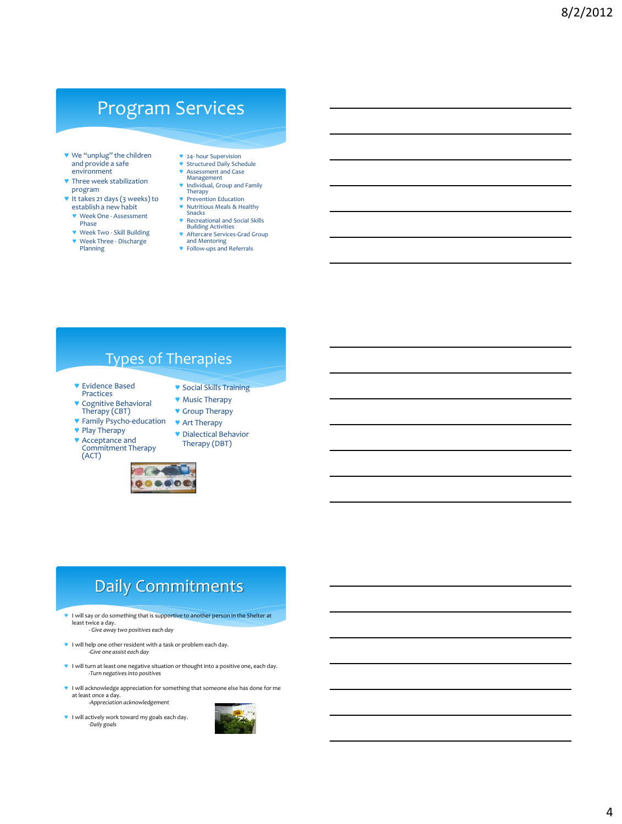# Program Services

- ♥ We "unplug" the children and provide a safe environment
- ♥ Three week stabilization program
- ♥ It takes 21 days (3 weeks) to establish a new habit
	- ♥ Week One Assessment Phase ♥ Week Two - Skill Building
	- ♥ Week Three Discharge Planning
- ♥ 24- hour Supervision **Structured Daily Schedule**
- 
- ♥ Assessment and Case Management ♥ Individual, Group and Family Therapy
- ♥ Prevention Education
- ♥ Nutritious Meals & Healthy Snacks ♥ Recreational and Social Skills
- Building Activities ♥ Aftercare Services-Grad Group
- 
- and Mentoring ♥ Follow-ups and Referrals

## Types of Therapies

- ♥ Evidence Based Practices
- ♥ Cognitive Behavioral Therapy (CBT)
- ♥ Group Therapy ♥ Art Therapy

♥ Social Skills Training ♥ Music Therapy

♥ Dialectical Behavior

- ♥ Family Psycho-education ♥ Play Therapy
	-
- ♥ Acceptance and Commitment Therapy (ACT)





Therapy (DBT)

# Daily Commitments

- ♥ I will say or do something that is supportive to another person in the Shelter at least twice a day.
	- *Give away two positives each day*
- ♥ I will help one other resident with a task or problem each day. *-Give one assist each day*
- ♥ I will turn at least one negative situation or thought into a positive one, each day. -*Turn negatives into positives*
- ♥ I will acknowledge appreciation for something that someone else has done for me at least once a day. *-Appreciation acknowledgement*
- ♥ I will actively work toward my goals each day. *-Daily goals*

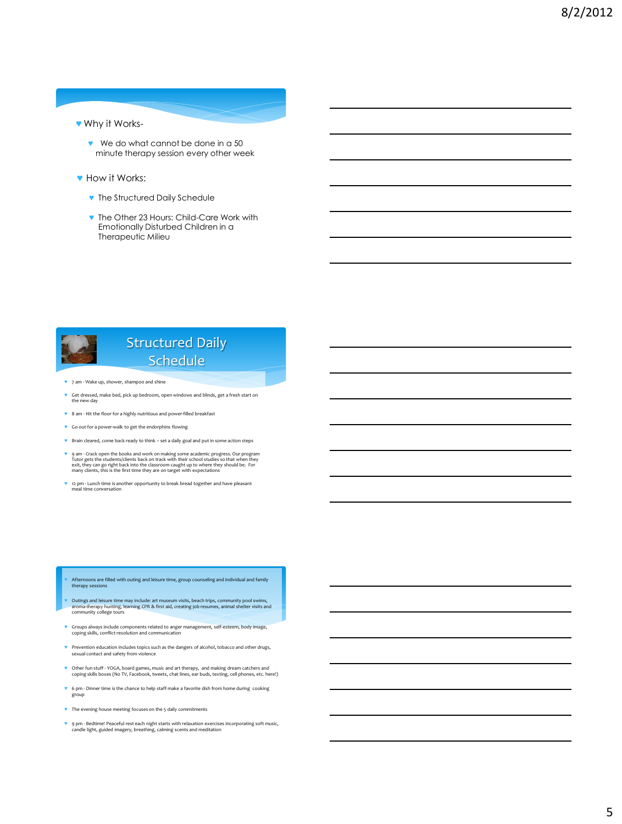#### ♥ Why it Works-

- ♥ We do what cannot be done in a 50 minute therapy session every other week
- ♥ How it Works:
	- ♥ The Structured Daily Schedule
	- ♥ The Other 23 Hours: Child-Care Work with Emotionally Disturbed Children in a Therapeutic Milieu



- ♥ 7 am Wake up, shower, shampoo and shine
- ♥ Get dressed, make bed, pick up bedroom, open windows and blinds, get a fresh start on the new day
- ♥ 8 am Hit the floor for a highly nutritious and power-filled breakfast
- ♥ Go out for a power-walk to get the endorphins flowing
- ♥ Brain cleared, come back ready to think set a daily goal and put in some action steps
- ♥ 9 am Crack open the books and work on making some academic progress. Our program Tutor gets the students/clients back on track with their school studies so that when they exit, they can go right back into the classroom caught up to where they should be. For many clients, this is the first time they are on target with expectations
- ♥ 12 pm Lunch time is another opportunity to break bread together and have pleasant meal time conversation

- Afternoons are filled with outing and leisure time, group counseling and individual and family therapy sessions
- ♥ Outings and leisure time may include: art museum visits, beach trips, community pool swims, aroma-therapy hunting, learning CPR & first aid, creating job resumes, animal shelter visits and community college tours
- ♥ Groups always include components related to anger management, self-esteem, body image, coping skills, conflict resolution and communication
- ♥ Prevention education includes topics such as the dangers of alcohol, tobacco and other drugs, sexual contact and safety from violence
- ♥ Other fun stuff YOGA, board games, music and art therapy, and making dream catchers and coping skills boxes (No TV, Facebook, tweets, chat lines, ear buds, texting, cell phones, etc. here!)
- ♥ 6 pm Dinner time is the chance to help staff make a favorite dish from home during cooking group
- ♥ The evening house meeting focuses on the 5 daily commitments
- ♥ 9 pm Bedtime! Peaceful rest each night starts with relaxation exercises incorporating soft music, candle light, guided imagery, breathing, calming scents and meditation